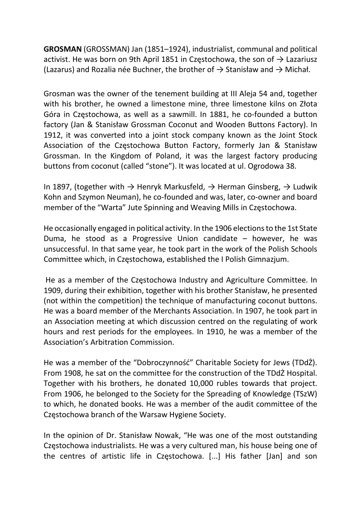GROSMAN (GROSSMAN) Jan (1851–1924), industrialist, communal and political activist. He was born on 9th April 1851 in Częstochowa, the son of  $\rightarrow$  Lazariusz (Lazarus) and Rozalia née Buchner, the brother of  $\rightarrow$  Stanisław and  $\rightarrow$  Michał.

Grosman was the owner of the tenement building at III Aleja 54 and, together with his brother, he owned a limestone mine, three limestone kilns on Złota Góra in Częstochowa, as well as a sawmill. In 1881, he co-founded a button factory (Jan & Stanisław Grossman Coconut and Wooden Buttons Factory). In 1912, it was converted into a joint stock company known as the Joint Stock Association of the Częstochowa Button Factory, formerly Jan & Stanisław Grossman. In the Kingdom of Poland, it was the largest factory producing buttons from coconut (called "stone"). It was located at ul. Ogrodowa 38.

In 1897, (together with  $\rightarrow$  Henryk Markusfeld,  $\rightarrow$  Herman Ginsberg,  $\rightarrow$  Ludwik Kohn and Szymon Neuman), he co-founded and was, later, co-owner and board member of the "Warta" Jute Spinning and Weaving Mills in Częstochowa.

He occasionally engaged in political activity. In the 1906 elections to the 1st State Duma, he stood as a Progressive Union candidate  $-$  however, he was unsuccessful. In that same year, he took part in the work of the Polish Schools Committee which, in Częstochowa, established the I Polish Gimnazjum.

 He as a member of the Częstochowa Industry and Agriculture Committee. In 1909, during their exhibition, together with his brother Stanisław, he presented (not within the competition) the technique of manufacturing coconut buttons. He was a board member of the Merchants Association. In 1907, he took part in an Association meeting at which discussion centred on the regulating of work hours and rest periods for the employees. In 1910, he was a member of the Association's Arbitration Commission.

He was a member of the "Dobroczynność" Charitable Society for Jews (TDdŻ). From 1908, he sat on the committee for the construction of the TDdŻ Hospital. Together with his brothers, he donated 10,000 rubles towards that project. From 1906, he belonged to the Society for the Spreading of Knowledge (TSzW) to which, he donated books. He was a member of the audit committee of the Częstochowa branch of the Warsaw Hygiene Society.

In the opinion of Dr. Stanisław Nowak, "He was one of the most outstanding Częstochowa industrialists. He was a very cultured man, his house being one of the centres of artistic life in Częstochowa. [...] His father [Jan] and son